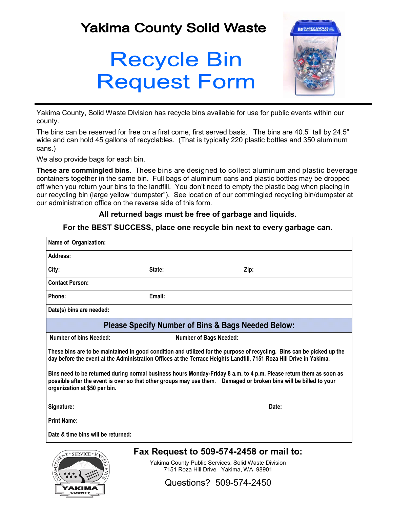## **Yakima County Solid Waste**

## **Recycle Bin Request Form**



Yakima County, Solid Waste Division has recycle bins available for use for public events within our county.

The bins can be reserved for free on a first come, first served basis. The bins are 40.5" tall by 24.5" wide and can hold 45 gallons of recyclables. (That is typically 220 plastic bottles and 350 aluminum cans.)

We also provide bags for each bin.

**These are commingled bins.** These bins are designed to collect aluminum and plastic beverage containers together in the same bin. Full bags of aluminum cans and plastic bottles may be dropped off when you return your bins to the landfill. You don't need to empty the plastic bag when placing in our recycling bin (large yellow "dumpster"). See location of our commingled recycling bin/dumpster at our administration office on the reverse side of this form.

## **All returned bags must be free of garbage and liquids.**

| Name of Organization:         |        |                                                                                                                                                                                                                                               |
|-------------------------------|--------|-----------------------------------------------------------------------------------------------------------------------------------------------------------------------------------------------------------------------------------------------|
| Address:                      |        |                                                                                                                                                                                                                                               |
| City:                         | State: | Zip:                                                                                                                                                                                                                                          |
| <b>Contact Person:</b>        |        |                                                                                                                                                                                                                                               |
| Phone:                        | Email: |                                                                                                                                                                                                                                               |
| Date(s) bins are needed:      |        |                                                                                                                                                                                                                                               |
|                               |        | <b>Please Specify Number of Bins &amp; Bags Needed Below:</b>                                                                                                                                                                                 |
| Number of bins Needed:        |        | <b>Number of Bags Needed:</b>                                                                                                                                                                                                                 |
|                               |        | These bins are to be maintained in good condition and utilized for the purpose of recycling. Bins can be picked up the<br>day before the event at the Administration Offices at the Terrace Heights Landfill, 7151 Roza Hill Drive in Yakima. |
| organization at \$50 per bin. |        | Bins need to be returned during normal business hours Monday-Friday 8 a.m. to 4 p.m. Please return them as soon as<br>possible after the event is over so that other groups may use them.  Damaged or broken bins will be billed to your      |
| Signature:                    | Date:  |                                                                                                                                                                                                                                               |
|                               |        |                                                                                                                                                                                                                                               |
| <b>Print Name:</b>            |        |                                                                                                                                                                                                                                               |

**For the BEST SUCCESS, place one recycle bin next to every garbage can.**



Yakima County Public Services, Solid Waste Division 7151 Roza Hill Drive Yakima, WA 98901

Questions? 509-574-2450